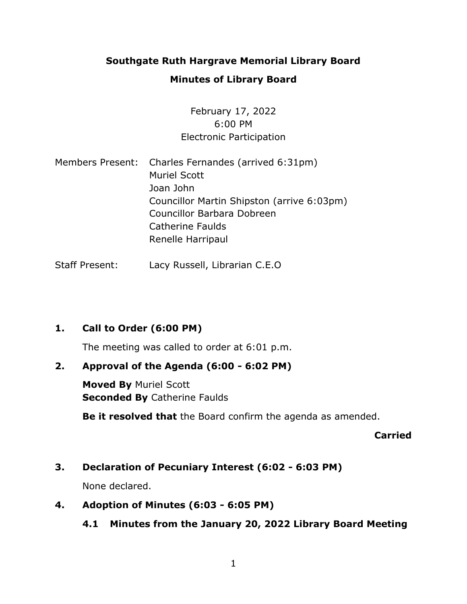## **Southgate Ruth Hargrave Memorial Library Board**

### **Minutes of Library Board**

## February 17, 2022 6:00 PM Electronic Participation

Members Present: Charles Fernandes (arrived 6:31pm) Muriel Scott Joan John Councillor Martin Shipston (arrive 6:03pm) Councillor Barbara Dobreen Catherine Faulds Renelle Harripaul

Staff Present: Lacy Russell, Librarian C.E.O

## **1. Call to Order (6:00 PM)**

The meeting was called to order at 6:01 p.m.

### **2. Approval of the Agenda (6:00 - 6:02 PM)**

**Moved By** Muriel Scott **Seconded By** Catherine Faulds

**Be it resolved that** the Board confirm the agenda as amended.

#### **Carried**

## **3. Declaration of Pecuniary Interest (6:02 - 6:03 PM)**

None declared.

#### **4. Adoption of Minutes (6:03 - 6:05 PM)**

## **4.1 Minutes from the January 20, 2022 Library Board Meeting**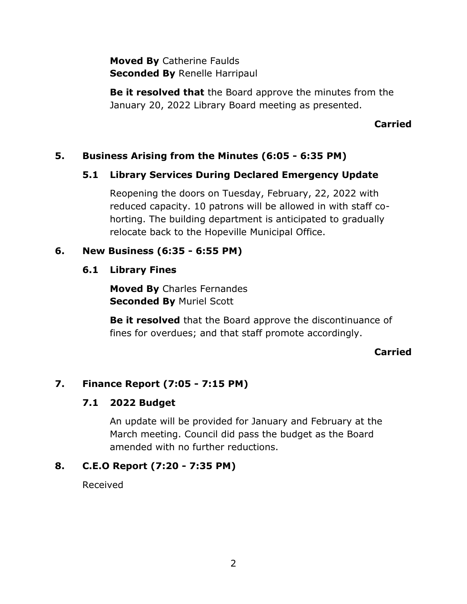**Moved By** Catherine Faulds **Seconded By** Renelle Harripaul

**Be it resolved that** the Board approve the minutes from the January 20, 2022 Library Board meeting as presented.

**Carried**

## **5. Business Arising from the Minutes (6:05 - 6:35 PM)**

## **5.1 Library Services During Declared Emergency Update**

Reopening the doors on Tuesday, February, 22, 2022 with reduced capacity. 10 patrons will be allowed in with staff cohorting. The building department is anticipated to gradually relocate back to the Hopeville Municipal Office.

## **6. New Business (6:35 - 6:55 PM)**

### **6.1 Library Fines**

**Moved By** Charles Fernandes **Seconded By** Muriel Scott

**Be it resolved** that the Board approve the discontinuance of fines for overdues; and that staff promote accordingly.

## **Carried**

## **7. Finance Report (7:05 - 7:15 PM)**

## **7.1 2022 Budget**

An update will be provided for January and February at the March meeting. Council did pass the budget as the Board amended with no further reductions.

## **8. C.E.O Report (7:20 - 7:35 PM)**

Received